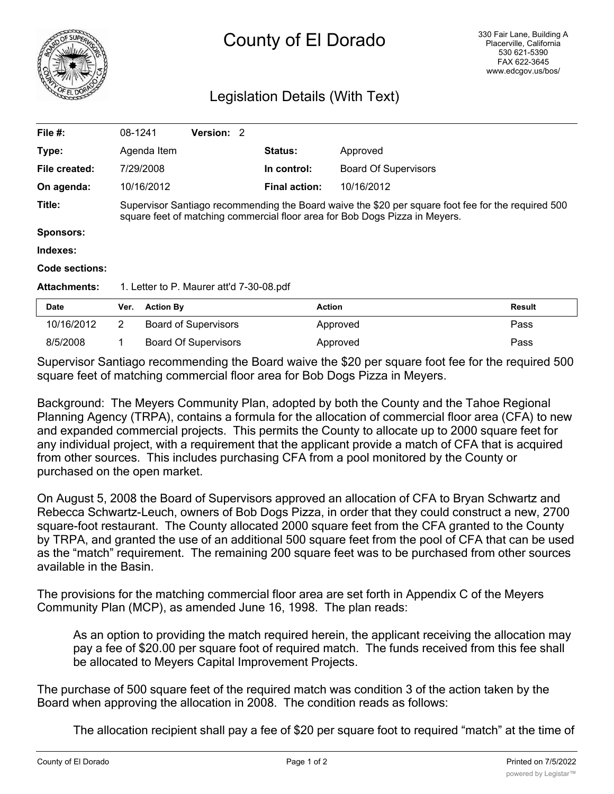

## County of El Dorado

## Legislation Details (With Text)

| File $#$ :          | 08-1241                                                                                                                                                                           |                  | Version: 2                  |  |                      |                             |               |
|---------------------|-----------------------------------------------------------------------------------------------------------------------------------------------------------------------------------|------------------|-----------------------------|--|----------------------|-----------------------------|---------------|
| Type:               |                                                                                                                                                                                   | Agenda Item      |                             |  | <b>Status:</b>       | Approved                    |               |
| File created:       |                                                                                                                                                                                   | 7/29/2008        |                             |  | In control:          | <b>Board Of Supervisors</b> |               |
| On agenda:          |                                                                                                                                                                                   | 10/16/2012       |                             |  | <b>Final action:</b> | 10/16/2012                  |               |
| Title:              | Supervisor Santiago recommending the Board waive the \$20 per square foot fee for the required 500<br>square feet of matching commercial floor area for Bob Dogs Pizza in Meyers. |                  |                             |  |                      |                             |               |
| <b>Sponsors:</b>    |                                                                                                                                                                                   |                  |                             |  |                      |                             |               |
| Indexes:            |                                                                                                                                                                                   |                  |                             |  |                      |                             |               |
| Code sections:      |                                                                                                                                                                                   |                  |                             |  |                      |                             |               |
| <b>Attachments:</b> | 1. Letter to P. Maurer att'd 7-30-08.pdf                                                                                                                                          |                  |                             |  |                      |                             |               |
| <b>Date</b>         | Ver.                                                                                                                                                                              | <b>Action By</b> |                             |  | <b>Action</b>        |                             | <b>Result</b> |
| 10/16/2012          | $\overline{2}$                                                                                                                                                                    |                  | <b>Board of Supervisors</b> |  |                      | Approved                    | Pass          |

Supervisor Santiago recommending the Board waive the \$20 per square foot fee for the required 500 square feet of matching commercial floor area for Bob Dogs Pizza in Meyers.

8/5/2008 1 Board Of Supervisors Approved Approved Pass

Background: The Meyers Community Plan, adopted by both the County and the Tahoe Regional Planning Agency (TRPA), contains a formula for the allocation of commercial floor area (CFA) to new and expanded commercial projects. This permits the County to allocate up to 2000 square feet for any individual project, with a requirement that the applicant provide a match of CFA that is acquired from other sources. This includes purchasing CFA from a pool monitored by the County or purchased on the open market.

On August 5, 2008 the Board of Supervisors approved an allocation of CFA to Bryan Schwartz and Rebecca Schwartz-Leuch, owners of Bob Dogs Pizza, in order that they could construct a new, 2700 square-foot restaurant. The County allocated 2000 square feet from the CFA granted to the County by TRPA, and granted the use of an additional 500 square feet from the pool of CFA that can be used as the "match" requirement. The remaining 200 square feet was to be purchased from other sources available in the Basin.

The provisions for the matching commercial floor area are set forth in Appendix C of the Meyers Community Plan (MCP), as amended June 16, 1998. The plan reads:

As an option to providing the match required herein, the applicant receiving the allocation may pay a fee of \$20.00 per square foot of required match. The funds received from this fee shall be allocated to Meyers Capital Improvement Projects.

The purchase of 500 square feet of the required match was condition 3 of the action taken by the Board when approving the allocation in 2008. The condition reads as follows:

The allocation recipient shall pay a fee of \$20 per square foot to required "match" at the time of